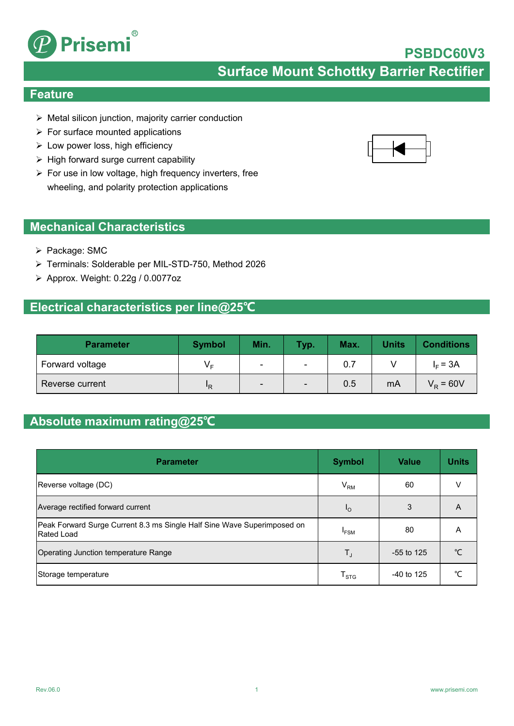

**Surface Mount Schottky Barrier Rectifier**

### **Feature**

- $\triangleright$  Metal silicon junction, majority carrier conduction
- $\triangleright$  For surface mounted applications
- $\triangleright$  Low power loss, high efficiency
- $\triangleright$  High forward surge current capability
- $\triangleright$  For use in low voltage, high frequency inverters, free wheeling, and polarity protection applications

### **Mechanical Characteristics**

- $\triangleright$  Package: SMC
- Terminals: Solderable per MIL-STD-750, Method 2026
- $\triangleright$  Approx. Weight: 0.22g / 0.0077oz

### **Electrical characteristics per line@25℃**

| <b>Parameter</b> | <b>Symbol</b> | Min.                     | Typ.                     | Max. | <b>Units</b> | <b>Conditions</b> |
|------------------|---------------|--------------------------|--------------------------|------|--------------|-------------------|
| Forward voltage  | Vс            | $\overline{\phantom{0}}$ | $\overline{\phantom{0}}$ | 0.7  |              | $I_F = 3A$        |
| Reverse current  | "R            | $\overline{\phantom{0}}$ | $\overline{\phantom{a}}$ | 0.5  | mA           | $V_{\rm R}$ = 60V |

### **Absolute maximum rating@25℃**

| <b>Parameter</b>                                                                             | <b>Symbol</b>               | Value        | <b>Units</b> |
|----------------------------------------------------------------------------------------------|-----------------------------|--------------|--------------|
| Reverse voltage (DC)                                                                         | $\rm V_{RM}$                | 60           | v            |
| Average rectified forward current                                                            | $I_{\rm O}$                 | 3            | A            |
| Peak Forward Surge Current 8.3 ms Single Half Sine Wave Superimposed on<br><b>Rated Load</b> | $I_{FSM}$                   | 80           | A            |
| Operating Junction temperature Range                                                         | $T_{J}$                     | $-55$ to 125 | ℃            |
| Storage temperature                                                                          | $\mathsf{T}_{\textsf{STG}}$ | $-40$ to 125 | ℃            |



**PSBDC60V3**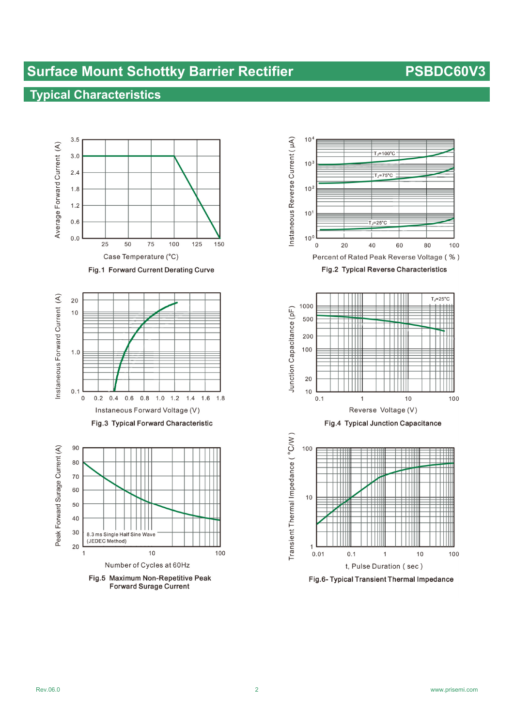# **Surface Mount Schottky Barrier Rectifier Mateurer 2018 1998 PSBDC60V3**

## **Typical Characteristics**



**Forward Surage Current** 



Fig.6- Typical Transient Thermal Impedance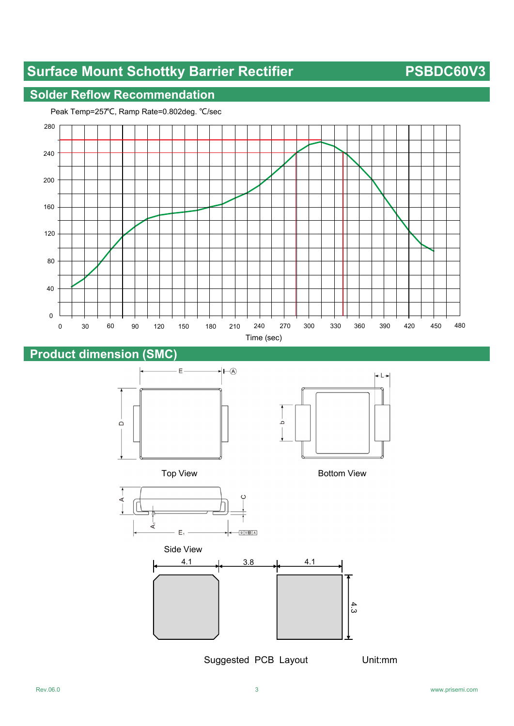# **Surface Mount Schottky Barrier Rectifier PSBDC60V3**

### **Solder Reflow Recommendation**



### **Product dimension (SMC)**





Top View **Bottom View** 





Suggested PCB Layout Unit:mm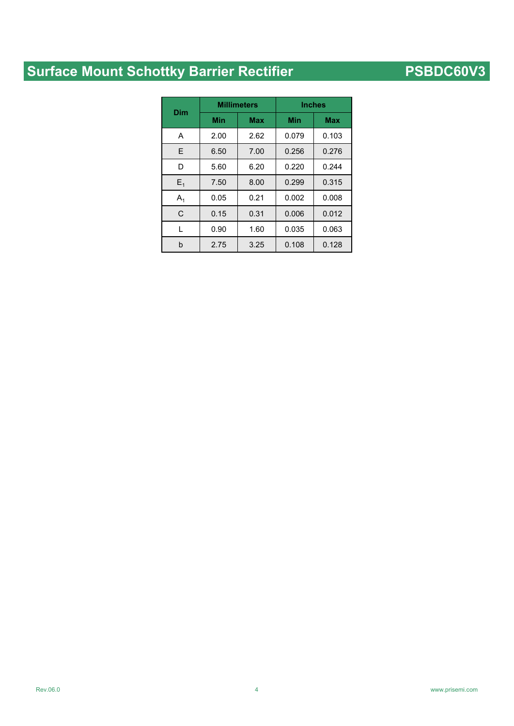# **Surface Mount Schottky Barrier Rectifier Mate Access PSBDC60V3**

| Dim   |      | <b>Millimeters</b> | <b>Inches</b> |            |  |
|-------|------|--------------------|---------------|------------|--|
|       | Min  | <b>Max</b>         | Min           | <b>Max</b> |  |
| A     | 2.00 | 2.62               | 0.079         | 0.103      |  |
| E     | 6.50 | 7.00               | 0.256         | 0.276      |  |
| D     | 5.60 | 6.20               | 0.220         | 0.244      |  |
| $E_1$ | 7.50 | 8.00               | 0.299         | 0.315      |  |
| $A_1$ | 0.05 | 0.21               | 0.002         | 0.008      |  |
| C     | 0.15 | 0.31               | 0.006         | 0.012      |  |
| L     | 0.90 | 1.60               | 0.035         | 0.063      |  |
| b     | 2.75 | 3.25               | 0.108         | 0.128      |  |